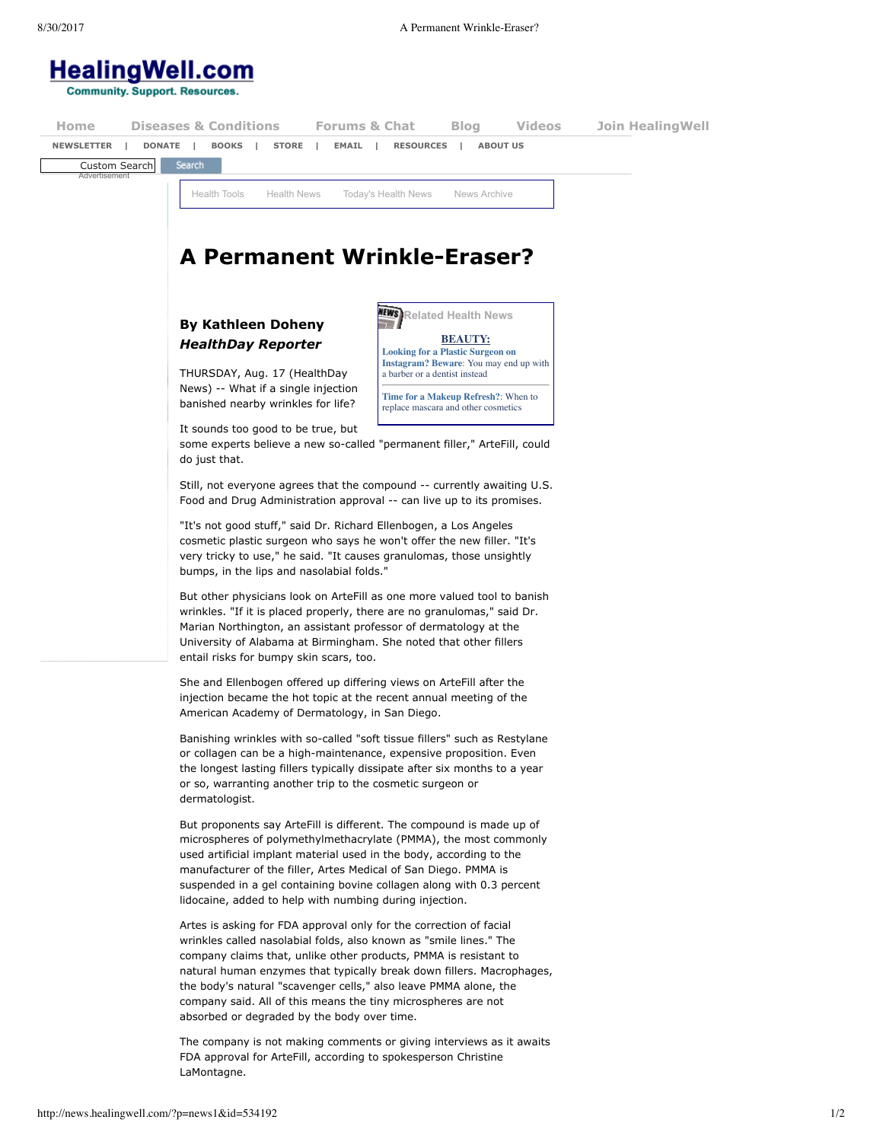